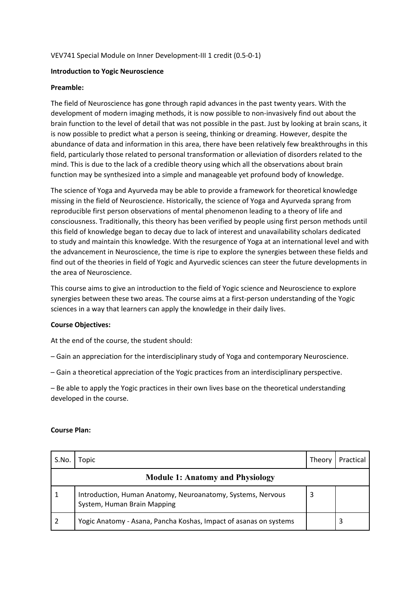### VEV741 Special Module on Inner Development‐III 1 credit (0.5‐0‐1)

### **Introduction to Yogic Neuroscience**

### **Preamble:**

The field of Neuroscience has gone through rapid advances in the past twenty years. With the development of modern imaging methods, it is now possible to non‐invasively find out about the brain function to the level of detail that was not possible in the past. Just by looking at brain scans, it is now possible to predict what a person is seeing, thinking or dreaming. However, despite the abundance of data and information in this area, there have been relatively few breakthroughs in this field, particularly those related to personal transformation or alleviation of disorders related to the mind. This is due to the lack of a credible theory using which all the observations about brain function may be synthesized into a simple and manageable yet profound body of knowledge.

The science of Yoga and Ayurveda may be able to provide a framework for theoretical knowledge missing in the field of Neuroscience. Historically, the science of Yoga and Ayurveda sprang from reproducible first person observations of mental phenomenon leading to a theory of life and consciousness. Traditionally, this theory has been verified by people using first person methods until this field of knowledge began to decay due to lack of interest and unavailability scholars dedicated to study and maintain this knowledge. With the resurgence of Yoga at an international level and with the advancement in Neuroscience, the time is ripe to explore the synergies between these fields and find out of the theories in field of Yogic and Ayurvedic sciences can steer the future developments in the area of Neuroscience.

This course aims to give an introduction to the field of Yogic science and Neuroscience to explore synergies between these two areas. The course aims at a first-person understanding of the Yogic sciences in a way that learners can apply the knowledge in their daily lives.

### **Course Objectives:**

At the end of the course, the student should:

- Gain an appreciation for the interdisciplinary study of Yoga and contemporary Neuroscience.
- Gain a theoretical appreciation of the Yogic practices from an interdisciplinary perspective.

– Be able to apply the Yogic practices in their own lives base on the theoretical understanding developed in the course.

#### **Course Plan:**

| S.No.                                   | Topic                                                                                      | Theory | Practical |  |  |
|-----------------------------------------|--------------------------------------------------------------------------------------------|--------|-----------|--|--|
| <b>Module 1: Anatomy and Physiology</b> |                                                                                            |        |           |  |  |
|                                         | Introduction, Human Anatomy, Neuroanatomy, Systems, Nervous<br>System, Human Brain Mapping | 3      |           |  |  |
|                                         | Yogic Anatomy - Asana, Pancha Koshas, Impact of asanas on systems                          |        |           |  |  |